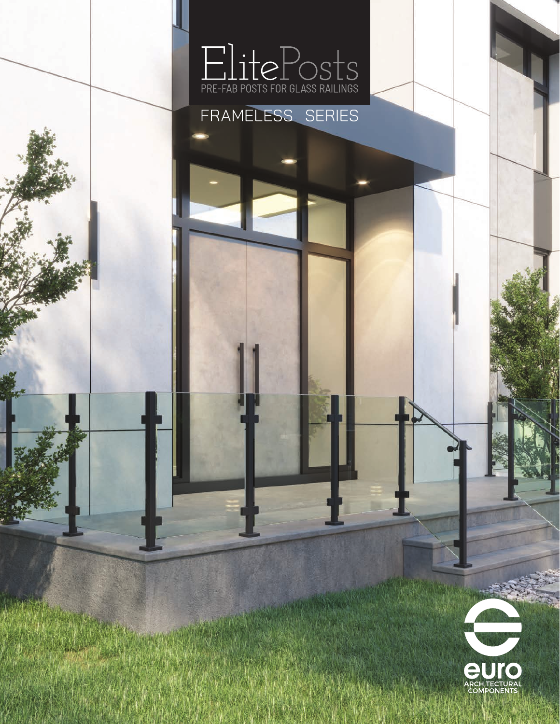



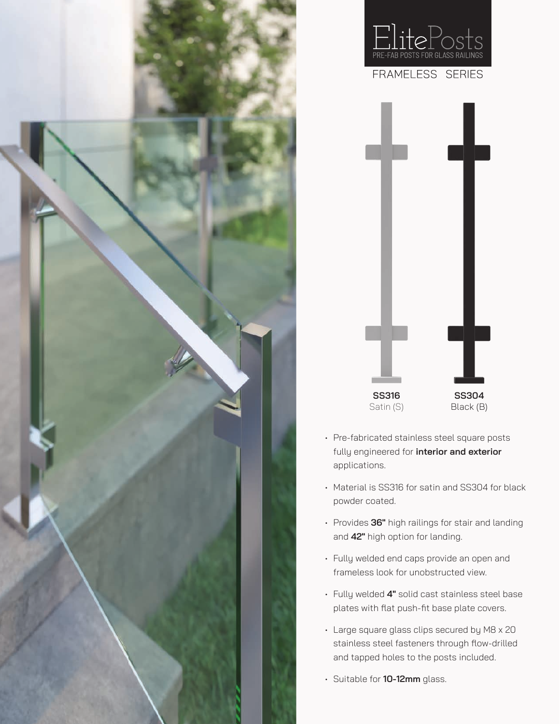



- Pre-fabricated stainless steel square posts fully engineered for **interior and exterior**  applications.
- Material is SS316 for satin and SS304 for black powder coated.
- Provides **36"** high railings for stair and landing and **42"** high option for landing.
- Fully welded end caps provide an open and frameless look for unobstructed view.
- Fully welded **4"** solid cast stainless steel base plates with flat push-fit base plate covers.
- Large square glass clips secured by M8 x 20 stainless steel fasteners through flow-drilled and tapped holes to the posts included.
- Suitable for **10-12mm** glass.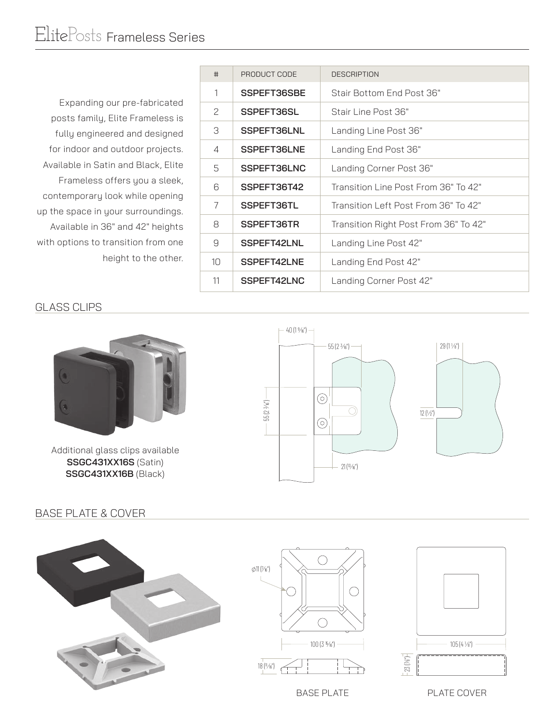Expanding our pre-fabricated posts family, Elite Frameless is fully engineered and designed for indoor and outdoor projects. Available in Satin and Black, Elite Frameless offers you a sleek, contemporary look while opening up the space in your surroundings. Available in 36" and 42" heights with options to transition from one height to the other.

| #             | PRODUCT CODE | <b>DESCRIPTION</b>                    |
|---------------|--------------|---------------------------------------|
| 1             | SSPEFT36SBE  | Stair Bottom End Post 36"             |
| $\mathcal{P}$ | SSPEFT36SL   | Stair Line Post 36"                   |
| 3             | SSPEFT36LNL  | Landing Line Post 36"                 |
| 4             | SSPEFT36LNE  | Landing End Post 36"                  |
| 5             | SSPEFT36LNC  | Landing Corner Post 36"               |
| 6             | SSPEFT36T42  | Transition Line Post From 36" To 42"  |
| 7             | SSPEFT36TL   | Transition Left Post From 36" To 42"  |
| 8             | SSPEFT36TR   | Transition Right Post From 36" To 42" |
| 9             | SSPEFT42LNL  | Landing Line Post 42"                 |
| 10            | SSPEFT42LNE  | Landing End Post 42"                  |
| 11            | SSPEFT42LNC  | Landing Corner Post 42"               |

## GLASS CLIPS



Additional glass clips available **SSGC431XX16S** (Satin) **SSGC431XX16B** (Black)



## BASE PLATE & COVER







BASE PLATE **PLATE COVER**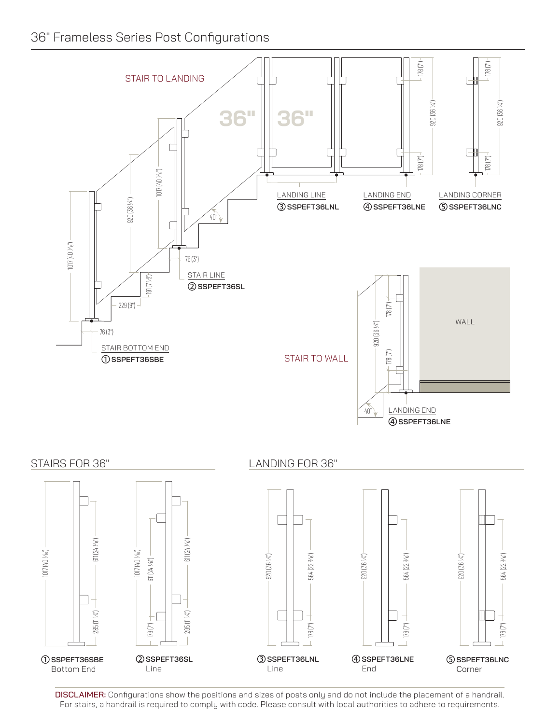## 36" Frameless Series Post Configurations



DISCLAIMER: Configurations show the positions and sizes of posts only and do not include the placement of a handrail. For stairs, a handrail is required to comply with code. Please consult with local authorities to adhere to requirements.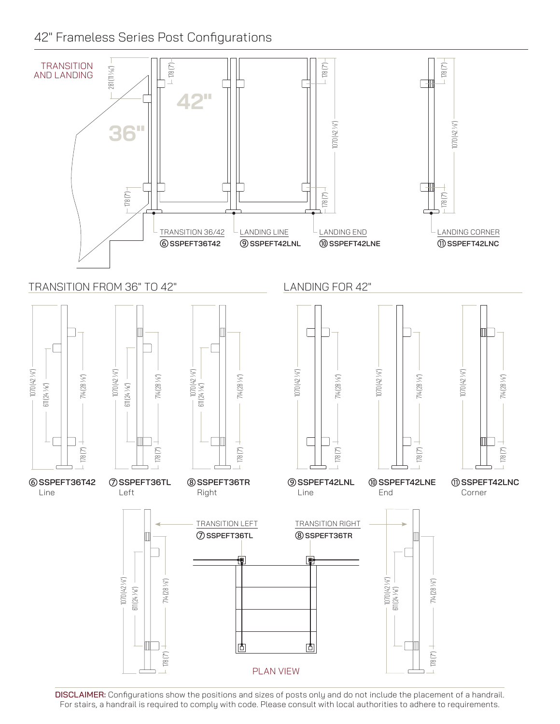42" Frameless Series Post Configurations



DISCLAIMER: Configurations show the positions and sizes of posts only and do not include the placement of a handrail. For stairs, a handrail is required to comply with code. Please consult with local authorities to adhere to requirements.